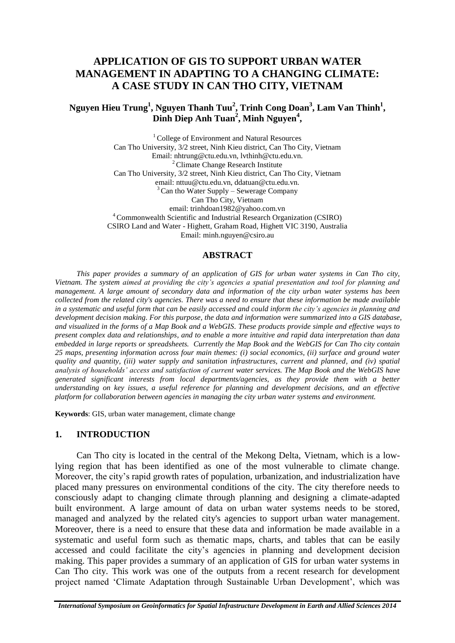# **APPLICATION OF GIS TO SUPPORT URBAN WATER MANAGEMENT IN ADAPTING TO A CHANGING CLIMATE: A CASE STUDY IN CAN THO CITY, VIETNAM**

# **Nguyen Hieu Trung<sup>1</sup> , Nguyen Thanh Tuu<sup>2</sup> , Trinh Cong Doan<sup>3</sup> , Lam Van Thinh<sup>1</sup> , Dinh Diep Anh Tuan<sup>2</sup> , Minh Nguyen<sup>4</sup> ,**

<sup>1</sup> College of Environment and Natural Resources Can Tho University, 3/2 street, Ninh Kieu district, Can Tho City, Vietnam Email: nhtrung@ctu.edu.vn, lvthinh@ctu.edu.vn. <sup>2</sup> Climate Change Research Institute Can Tho University, 3/2 street, Ninh Kieu district, Can Tho City, Vietnam email: nttuu@ctu.edu.vn, ddatuan@ctu.edu.vn.  $3$  Can tho Water Supply – Sewerage Company Can Tho City, Vietnam email: trinhdoan1982@yahoo.com.vn <sup>4</sup> Commonwealth Scientific and Industrial Research Organization (CSIRO) CSIRO Land and Water - Highett, Graham Road, Highett VIC 3190, Australia

# Email: minh.nguyen@csiro.au

#### **ABSTRACT**

*This paper provides a summary of an application of GIS for urban water systems in Can Tho city, Vietnam. The system aimed at providing the city's agencies a spatial presentation and tool for planning and management. A large amount of secondary data and information of the city urban water systems has been collected from the related city's agencies. There was a need to ensure that these information be made available in a systematic and useful form that can be easily accessed and could inform the city's agencies in planning and development decision making. For this purpose, the data and information were summarized into a GIS database, and visualized in the forms of a Map Book and a WebGIS. These products provide simple and effective ways to present complex data and relationships, and to enable a more intuitive and rapid data interpretation than data embedded in large reports or spreadsheets. Currently the Map Book and the WebGIS for Can Tho city contain 25 maps, presenting information across four main themes: (i) social economics, (ii) surface and ground water quality and quantity, (iii) water supply and sanitation infrastructures, current and planned, and (iv) spatial analysis of households' access and satisfaction of current water services. The Map Book and the WebGIS have generated significant interests from local departments/agencies, as they provide them with a better understanding on key issues, a useful reference for planning and development decisions, and an effective platform for collaboration between agencies in managing the city urban water systems and environment.*

**Keywords**: GIS, urban water management, climate change

#### **1. INTRODUCTION**

Can Tho city is located in the central of the Mekong Delta, Vietnam, which is a lowlying region that has been identified as one of the most vulnerable to climate change. Moreover, the city's rapid growth rates of population, urbanization, and industrialization have placed many pressures on environmental conditions of the city. The city therefore needs to consciously adapt to changing climate through planning and designing a climate-adapted built environment. A large amount of data on urban water systems needs to be stored, managed and analyzed by the related city's agencies to support urban water management. Moreover, there is a need to ensure that these data and information be made available in a systematic and useful form such as thematic maps, charts, and tables that can be easily accessed and could facilitate the city's agencies in planning and development decision making. This paper provides a summary of an application of GIS for urban water systems in Can Tho city. This work was one of the outputs from a recent research for development project named 'Climate Adaptation through Sustainable Urban Development', which was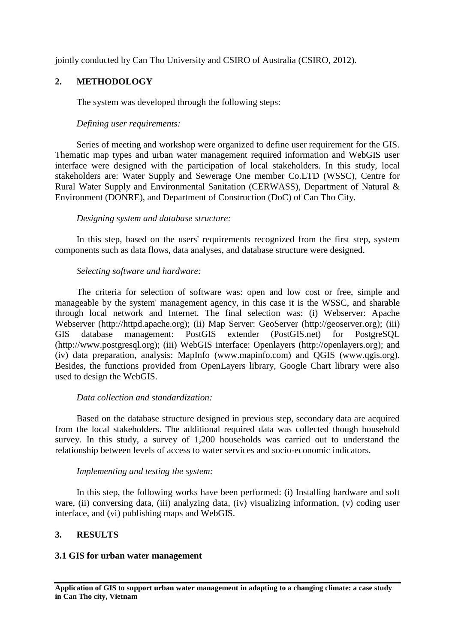jointly conducted by Can Tho University and CSIRO of Australia (CSIRO, 2012).

# **2. METHODOLOGY**

The system was developed through the following steps:

### *Defining user requirements:*

Series of meeting and workshop were organized to define user requirement for the GIS. Thematic map types and urban water management required information and WebGIS user interface were designed with the participation of local stakeholders. In this study, local stakeholders are: Water Supply and Sewerage One member Co.LTD (WSSC), Centre for Rural Water Supply and Environmental Sanitation (CERWASS), Department of Natural & Environment (DONRE), and Department of Construction (DoC) of Can Tho City.

### *Designing system and database structure:*

In this step, based on the users' requirements recognized from the first step, system components such as data flows, data analyses, and database structure were designed.

### *Selecting software and hardware:*

The criteria for selection of software was: open and low cost or free, simple and manageable by the system' management agency, in this case it is the WSSC, and sharable through local network and Internet. The final selection was: (i) Webserver: Apache Webserver (http://httpd.apache.org); (ii) Map Server: GeoServer (http://geoserver.org); (iii) GIS database management: PostGIS extender (PostGIS.net) for PostgreSQL (http://www.postgresql.org); (iii) WebGIS interface: Openlayers (http://openlayers.org); and (iv) data preparation, analysis: MapInfo (www.mapinfo.com) and QGIS (www.qgis.org). Besides, the functions provided from OpenLayers library, Google Chart library were also used to design the WebGIS.

# *Data collection and standardization:*

Based on the database structure designed in previous step, secondary data are acquired from the local stakeholders. The additional required data was collected though household survey. In this study, a survey of 1,200 households was carried out to understand the relationship between levels of access to water services and socio-economic indicators.

#### *Implementing and testing the system:*

In this step, the following works have been performed: (i) Installing hardware and soft ware, (ii) conversing data, (iii) analyzing data, (iv) visualizing information, (v) coding user interface, and (vi) publishing maps and WebGIS.

# **3. RESULTS**

### **3.1 GIS for urban water management**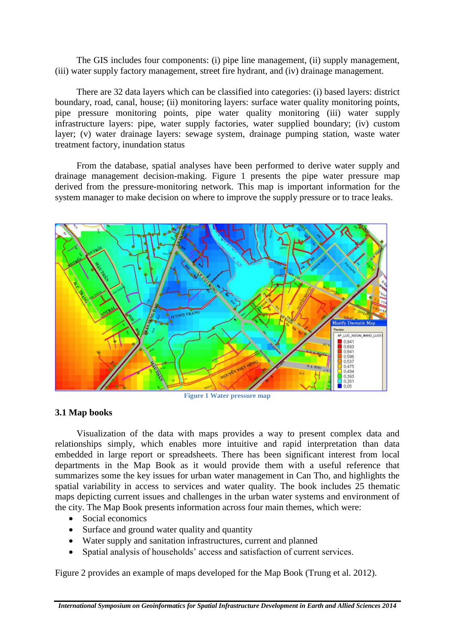The GIS includes four components: (i) pipe line management, (ii) supply management, (iii) water supply factory management, street fire hydrant, and (iv) drainage management.

There are 32 data layers which can be classified into categories: (i) based layers: district boundary, road, canal, house; (ii) monitoring layers: surface water quality monitoring points, pipe pressure monitoring points, pipe water quality monitoring (iii) water supply infrastructure layers: pipe, water supply factories, water supplied boundary; (iv) custom layer; (v) water drainage layers: sewage system, drainage pumping station, waste water treatment factory, inundation status

From the database, spatial analyses have been performed to derive water supply and drainage management decision-making. Figure 1 presents the pipe water pressure map derived from the pressure-monitoring network. This map is important information for the system manager to make decision on where to improve the supply pressure or to trace leaks.



**Figure 1 Water pressure map**

# **3.1 Map books**

Visualization of the data with maps provides a way to present complex data and relationships simply, which enables more intuitive and rapid interpretation than data embedded in large report or spreadsheets. There has been significant interest from local departments in the Map Book as it would provide them with a useful reference that summarizes some the key issues for urban water management in Can Tho, and highlights the spatial variability in access to services and water quality. The book includes 25 thematic maps depicting current issues and challenges in the urban water systems and environment of the city. The Map Book presents information across four main themes, which were:

- Social economics
- Surface and ground water quality and quantity
- Water supply and sanitation infrastructures, current and planned
- Spatial analysis of households' access and satisfaction of current services.

Figure 2 provides an example of maps developed for the Map Book (Trung et al. 2012).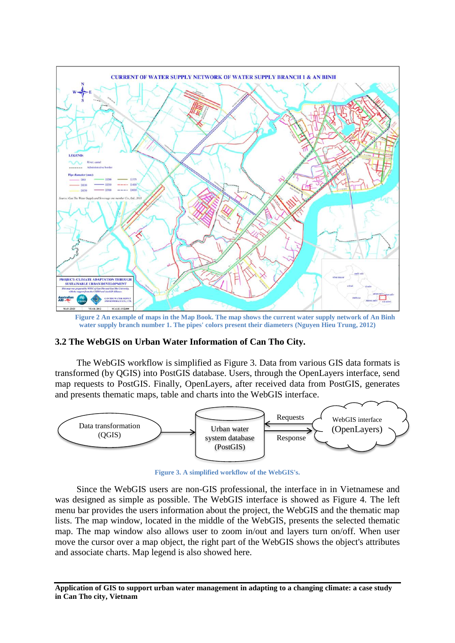

 **Figure 2 An example of maps in the Map Book. The map shows the current water supply network of An Binh water supply branch number 1. The pipes' colors present their diameters (Nguyen Hieu Trung, 2012)** 

#### **3.2 The WebGIS on Urban Water Information of Can Tho City.**

The WebGIS workflow is simplified as Figure 3. Data from various GIS data formats is transformed (by QGIS) into PostGIS database. Users, through the OpenLayers interface, send map requests to PostGIS. Finally, OpenLayers, after received data from PostGIS, generates and presents thematic maps, table and charts into the WebGIS interface.



**Figure 3. A simplified workflow of the WebGIS's.**

Since the WebGIS users are non-GIS professional, the interface in in Vietnamese and was designed as simple as possible. The WebGIS interface is showed as Figure 4. The left menu bar provides the users information about the project, the WebGIS and the thematic map lists. The map window, located in the middle of the WebGIS, presents the selected thematic map. The map window also allows user to zoom in/out and layers turn on/off. When user move the cursor over a map object, the right part of the WebGIS shows the object's attributes and associate charts. Map legend is also showed here.

**Application of GIS to support urban water management in adapting to a changing climate: a case study in Can Tho city, Vietnam**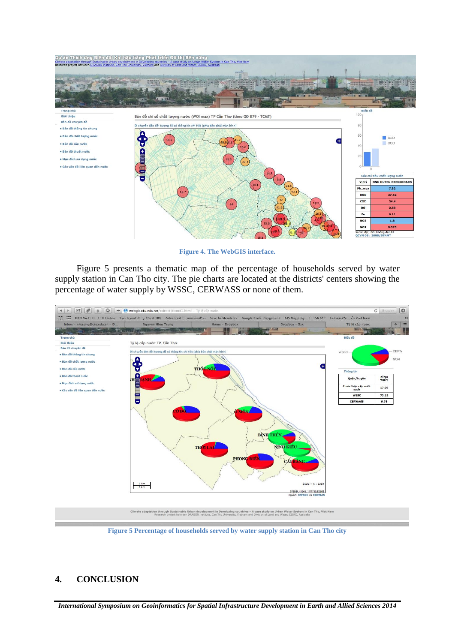

**Figure 4. The WebGIS interface.**

Figure 5 presents a thematic map of the percentage of households served by water supply station in Can Tho city. The pie charts are located at the districts' centers showing the percentage of water supply by WSSC, CERWASS or none of them.



**Figure 5 Percentage of households served by water supply station in Can Tho city**

#### **4. CONCLUSION**

*International Symposium on Geoinformatics for Spatial Infrastructure Development in Earth and Allied Sciences 2014*